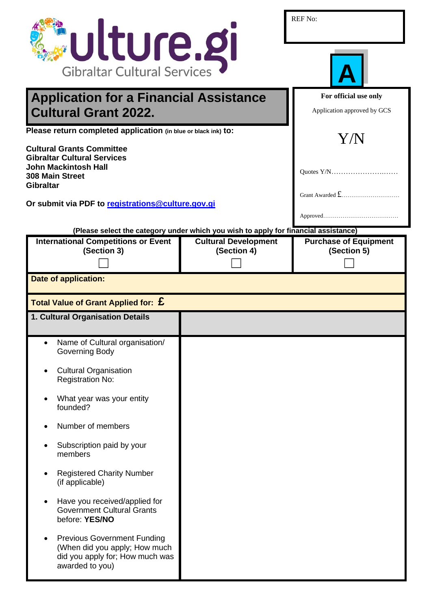| <b>Julture.gi</b>                                                                                                         |                                                                                                                    | <b>REF No:</b>                                       |  |
|---------------------------------------------------------------------------------------------------------------------------|--------------------------------------------------------------------------------------------------------------------|------------------------------------------------------|--|
| <b>Gibraltar Cultural Services</b>                                                                                        |                                                                                                                    |                                                      |  |
| <b>Application for a Financial Assistance</b><br><b>Cultural Grant 2022.</b>                                              |                                                                                                                    | For official use only<br>Application approved by GCS |  |
| Please return completed application (in blue or black ink) to:                                                            |                                                                                                                    | Y/N                                                  |  |
| <b>Cultural Grants Committee</b><br><b>Gibraltar Cultural Services</b><br><b>John Mackintosh Hall</b>                     |                                                                                                                    | Quotes Y/N                                           |  |
| <b>308 Main Street</b><br><b>Gibraltar</b><br>Or submit via PDF to registrations@culture.gov.gi                           |                                                                                                                    |                                                      |  |
|                                                                                                                           |                                                                                                                    |                                                      |  |
| <b>International Competitions or Event</b>                                                                                | (Please select the category under which you wish to apply for financial assistance)<br><b>Cultural Development</b> | <b>Purchase of Equipment</b>                         |  |
| (Section 3)                                                                                                               | (Section 4)                                                                                                        | (Section 5)                                          |  |
|                                                                                                                           |                                                                                                                    |                                                      |  |
| <b>Date of application:</b>                                                                                               |                                                                                                                    |                                                      |  |
| Total Value of Grant Applied for: $\boldsymbol{\mathsf{E}}$                                                               |                                                                                                                    |                                                      |  |
| 1. Cultural Organisation Details                                                                                          |                                                                                                                    |                                                      |  |
| Name of Cultural organisation/<br>Governing Body                                                                          |                                                                                                                    |                                                      |  |
| <b>Cultural Organisation</b><br><b>Registration No:</b>                                                                   |                                                                                                                    |                                                      |  |
| What year was your entity<br>founded?                                                                                     |                                                                                                                    |                                                      |  |
| Number of members                                                                                                         |                                                                                                                    |                                                      |  |
| Subscription paid by your<br>members                                                                                      |                                                                                                                    |                                                      |  |
| <b>Registered Charity Number</b><br>(if applicable)                                                                       |                                                                                                                    |                                                      |  |
| Have you received/applied for<br><b>Government Cultural Grants</b><br>before: YES/NO                                      |                                                                                                                    |                                                      |  |
| <b>Previous Government Funding</b><br>(When did you apply; How much<br>did you apply for; How much was<br>awarded to you) |                                                                                                                    |                                                      |  |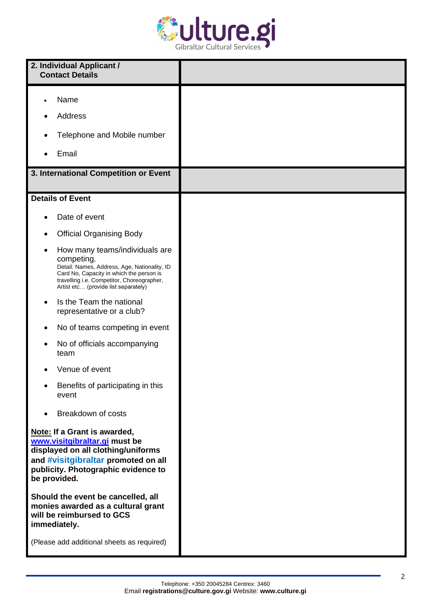

| 2. Individual Applicant /<br><b>Contact Details</b>                                                                                                                                                                            |  |
|--------------------------------------------------------------------------------------------------------------------------------------------------------------------------------------------------------------------------------|--|
| Name                                                                                                                                                                                                                           |  |
| <b>Address</b>                                                                                                                                                                                                                 |  |
| Telephone and Mobile number                                                                                                                                                                                                    |  |
| Email                                                                                                                                                                                                                          |  |
| 3. International Competition or Event                                                                                                                                                                                          |  |
| <b>Details of Event</b>                                                                                                                                                                                                        |  |
| Date of event                                                                                                                                                                                                                  |  |
| <b>Official Organising Body</b>                                                                                                                                                                                                |  |
| How many teams/individuals are<br>competing.<br>Detail: Names, Address, Age, Nationality, ID<br>Card No, Capacity in which the person is<br>travelling i.e. Competitor, Choreographer,<br>Artist etc (provide list separately) |  |
| Is the Team the national<br>representative or a club?                                                                                                                                                                          |  |
| No of teams competing in event                                                                                                                                                                                                 |  |
| No of officials accompanying<br>team                                                                                                                                                                                           |  |
| Venue of event                                                                                                                                                                                                                 |  |
| Benefits of participating in this<br>٠<br>event                                                                                                                                                                                |  |
| Breakdown of costs                                                                                                                                                                                                             |  |
| Note: If a Grant is awarded,<br>www.visitgibraltar.gi must be<br>displayed on all clothing/uniforms<br>and #visitgibraltar promoted on all<br>publicity. Photographic evidence to<br>be provided.                              |  |
| Should the event be cancelled, all<br>monies awarded as a cultural grant<br>will be reimbursed to GCS<br>immediately.                                                                                                          |  |
| (Please add additional sheets as required)                                                                                                                                                                                     |  |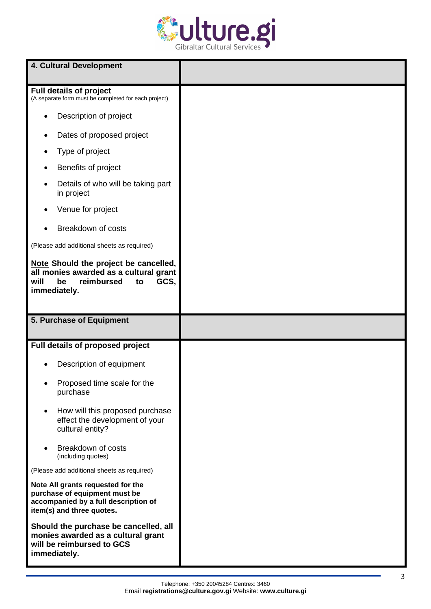

| 4. Cultural Development                                                                                                                 |  |
|-----------------------------------------------------------------------------------------------------------------------------------------|--|
| <b>Full details of project</b><br>(A separate form must be completed for each project)                                                  |  |
| Description of project                                                                                                                  |  |
| Dates of proposed project                                                                                                               |  |
| Type of project                                                                                                                         |  |
| Benefits of project                                                                                                                     |  |
| Details of who will be taking part<br>in project                                                                                        |  |
| Venue for project                                                                                                                       |  |
| Breakdown of costs                                                                                                                      |  |
| (Please add additional sheets as required)                                                                                              |  |
| Note Should the project be cancelled,<br>all monies awarded as a cultural grant<br>reimbursed<br>GCS,<br>will<br>be<br>to               |  |
| immediately.                                                                                                                            |  |
| 5. Purchase of Equipment                                                                                                                |  |
| Full details of proposed project                                                                                                        |  |
| Description of equipment                                                                                                                |  |
| Proposed time scale for the<br>purchase                                                                                                 |  |
| How will this proposed purchase<br>$\bullet$<br>effect the development of your<br>cultural entity?                                      |  |
| Breakdown of costs<br>(including quotes)                                                                                                |  |
| (Please add additional sheets as required)                                                                                              |  |
| Note All grants requested for the<br>purchase of equipment must be<br>accompanied by a full description of<br>item(s) and three quotes. |  |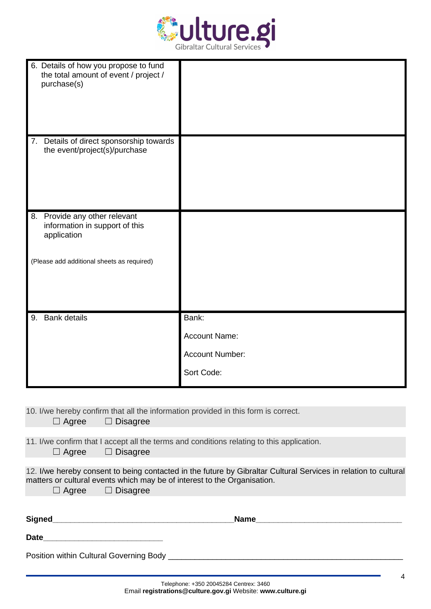

| 6. Details of how you propose to fund<br>the total amount of event / project /<br>purchase(s) |                        |
|-----------------------------------------------------------------------------------------------|------------------------|
| 7. Details of direct sponsorship towards<br>the event/project(s)/purchase                     |                        |
| 8. Provide any other relevant<br>information in support of this<br>application                |                        |
| (Please add additional sheets as required)                                                    |                        |
| 9. Bank details                                                                               | Bank:                  |
|                                                                                               | <b>Account Name:</b>   |
|                                                                                               | <b>Account Number:</b> |
|                                                                                               | Sort Code:             |

10. I/we hereby confirm that all the information provided in this form is correct.

11. I/we confirm that I accept all the terms and conditions relating to this application.

| $\Box$ Agree | $\Box$ Disagree |
|--------------|-----------------|
|              |                 |

12. I/we hereby consent to being contacted in the future by Gibraltar Cultural Services in relation to cultural matters or cultural events which may be of interest to the Organisation. ☐ Agree ☐ Disagree

| Signed                                  | <b>Name</b> |  |
|-----------------------------------------|-------------|--|
| <b>Date</b>                             |             |  |
| Position within Cultural Governing Body |             |  |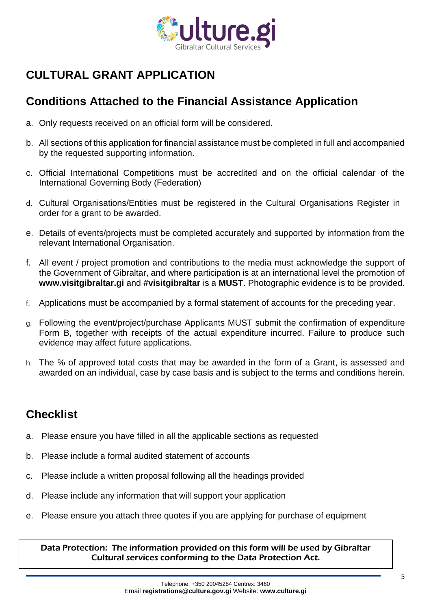

## **CULTURAL GRANT APPLICATION**

## **Conditions Attached to the Financial Assistance Application**

- a. Only requests received on an official form will be considered.
- b. All sections of this application for financial assistance must be completed in full and accompanied by the requested supporting information.
- c. Official International Competitions must be accredited and on the official calendar of the International Governing Body (Federation)
- d. Cultural Organisations/Entities must be registered in the Cultural Organisations Register in order for a grant to be awarded.
- e. Details of events/projects must be completed accurately and supported by information from the relevant International Organisation.
- f. All event / project promotion and contributions to the media must acknowledge the support of the Government of Gibraltar, and where participation is at an international level the promotion of **[www.visitgibraltar.gi](http://www.visitgibraltar.gi/)** and **#visitgibraltar** is a **MUST**. Photographic evidence is to be provided.
- f. Applications must be accompanied by a formal statement of accounts for the preceding year.
- g. Following the event/project/purchase Applicants MUST submit the confirmation of expenditure Form B, together with receipts of the actual expenditure incurred. Failure to produce such evidence may affect future applications.
- h. The % of approved total costs that may be awarded in the form of a Grant, is assessed and awarded on an individual, case by case basis and is subject to the terms and conditions herein.

## **Checklist**

- a. Please ensure you have filled in all the applicable sections as requested
- b. Please include a formal audited statement of accounts
- c. Please include a written proposal following all the headings provided
- d. Please include any information that will support your application
- e. Please ensure you attach three quotes if you are applying for purchase of equipment

Data Protection: The information provided on this form will be used by Gibraltar Cultural services conforming to the Data Protection Act.